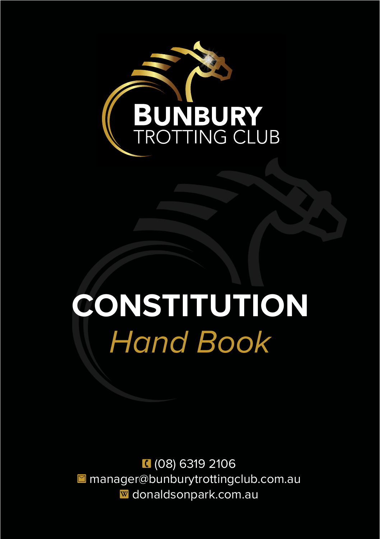

# **CONSTITUTION** *Hand Book*

1 (08) 6319 2106 ■ manager@bunburytrottingclub.com.au **W** donaldsonpark.com.au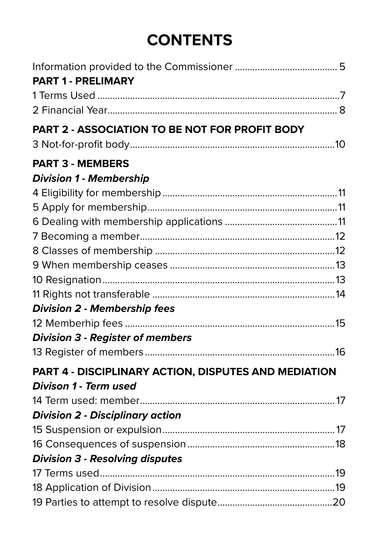# **CONTENTS**

| <b>PART 1 - PRELIMARY</b>                            |  |
|------------------------------------------------------|--|
|                                                      |  |
|                                                      |  |
| PART 2 - ASSOCIATION TO BE NOT FOR PROFIT BODY       |  |
|                                                      |  |
| <b>PART 3 - MEMBERS</b>                              |  |
| <b>Division 1 - Membership</b>                       |  |
|                                                      |  |
|                                                      |  |
|                                                      |  |
|                                                      |  |
|                                                      |  |
|                                                      |  |
|                                                      |  |
|                                                      |  |
| <b>Division 2 - Membership fees</b>                  |  |
|                                                      |  |
| <b>Division 3 - Register of members</b>              |  |
|                                                      |  |
| PART 4 - DISCIPLINARY ACTION, DISPUTES AND MEDIATION |  |
| Divison 1 - Term used                                |  |
|                                                      |  |
| <b>Division 2 - Disciplinary action</b>              |  |
|                                                      |  |
|                                                      |  |
| <b>Division 3 - Resolving disputes</b>               |  |
|                                                      |  |
|                                                      |  |
|                                                      |  |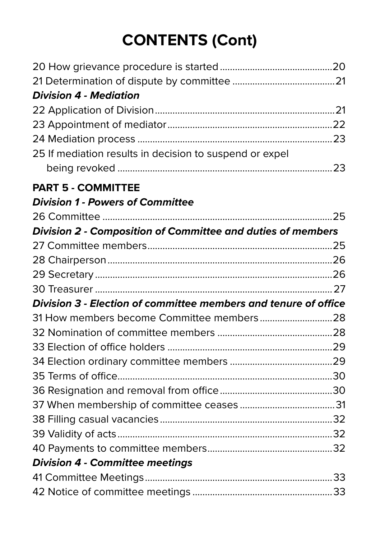# **CONTENTS (Cont)**

| <b>Division 4 - Mediation</b>                                   |  |
|-----------------------------------------------------------------|--|
|                                                                 |  |
|                                                                 |  |
|                                                                 |  |
| 25 If mediation results in decision to suspend or expel         |  |
|                                                                 |  |
| <b>PART 5 - COMMITTEE</b>                                       |  |
| <b>Division 1 - Powers of Committee</b>                         |  |
|                                                                 |  |
| Division 2 - Composition of Committee and duties of members     |  |
|                                                                 |  |
|                                                                 |  |
|                                                                 |  |
|                                                                 |  |
| Division 3 - Election of committee members and tenure of office |  |
|                                                                 |  |
|                                                                 |  |
|                                                                 |  |
|                                                                 |  |
|                                                                 |  |
|                                                                 |  |
|                                                                 |  |
|                                                                 |  |
|                                                                 |  |
|                                                                 |  |
| <b>Division 4 - Committee meetings</b>                          |  |
|                                                                 |  |
|                                                                 |  |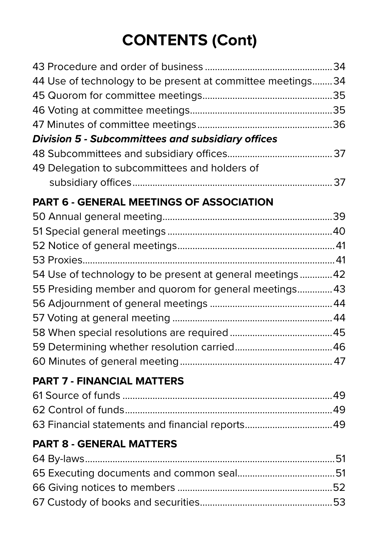# **CONTENTS (Cont)**

| 44 Use of technology to be present at committee meetings 34 |  |
|-------------------------------------------------------------|--|
|                                                             |  |
|                                                             |  |
|                                                             |  |
| <b>Division 5 - Subcommittees and subsidiary offices</b>    |  |
|                                                             |  |
| 49 Delegation to subcommittees and holders of               |  |
|                                                             |  |
| PART 6 - GENERAL MEETINGS OF ASSOCIATION                    |  |
|                                                             |  |
|                                                             |  |
|                                                             |  |
|                                                             |  |
| 54 Use of technology to be present at general meetings42    |  |
| 55 Presiding member and quorom for general meetings 43      |  |
|                                                             |  |
|                                                             |  |
|                                                             |  |
|                                                             |  |
|                                                             |  |
| <b>PART 7 - FINANCIAL MATTERS</b>                           |  |

| 63 Financial statements and financial reports 49 |  |
|--------------------------------------------------|--|

## **PART 8 - GENERAL MATTERS**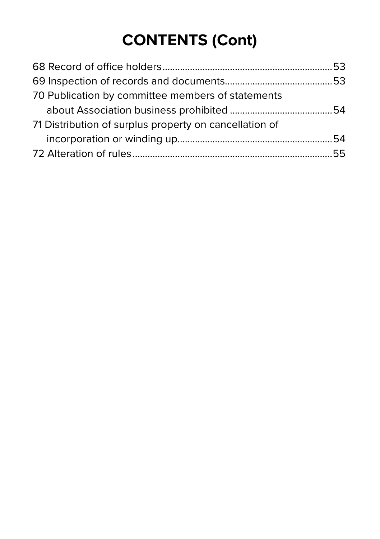# **CONTENTS (Cont)**

| 70 Publication by committee members of statements      |  |
|--------------------------------------------------------|--|
|                                                        |  |
| 71 Distribution of surplus property on cancellation of |  |
|                                                        |  |
|                                                        |  |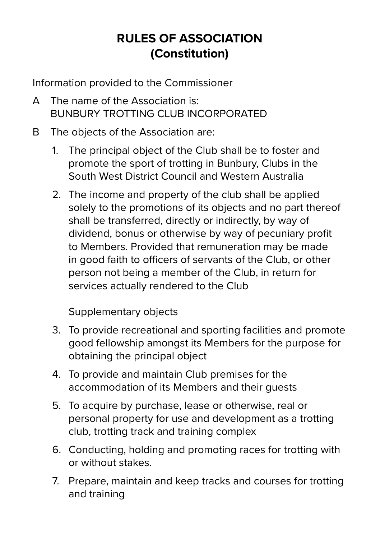# **RULES OF ASSOCIATION (Constitution)**

Information provided to the Commissioner

- A The name of the Association is: BUNBURY TROTTING CLUB INCORPORATED
- B The objects of the Association are:
	- 1. The principal object of the Club shall be to foster and promote the sport of trotting in Bunbury, Clubs in the South West District Council and Western Australia
	- 2. The income and property of the club shall be applied solely to the promotions of its objects and no part thereof shall be transferred, directly or indirectly, by way of dividend, bonus or otherwise by way of pecuniary profit to Members. Provided that remuneration may be made in good faith to officers of servants of the Club, or other person not being a member of the Club, in return for services actually rendered to the Club

Supplementary objects

- 3. To provide recreational and sporting facilities and promote good fellowship amongst its Members for the purpose for obtaining the principal object
- 4. To provide and maintain Club premises for the accommodation of its Members and their guests
- 5. To acquire by purchase, lease or otherwise, real or personal property for use and development as a trotting club, trotting track and training complex
- 6. Conducting, holding and promoting races for trotting with or without stakes.
- 7. Prepare, maintain and keep tracks and courses for trotting and training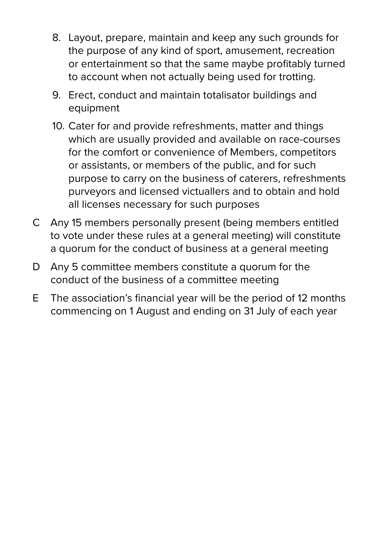- 8. Layout, prepare, maintain and keep any such grounds for the purpose of any kind of sport, amusement, recreation or entertainment so that the same maybe profitably turned to account when not actually being used for trotting.
- 9. Erect, conduct and maintain totalisator buildings and equipment
- 10. Cater for and provide refreshments, matter and things which are usually provided and available on race-courses for the comfort or convenience of Members, competitors or assistants, or members of the public, and for such purpose to carry on the business of caterers, refreshments purveyors and licensed victuallers and to obtain and hold all licenses necessary for such purposes
- C Any 15 members personally present (being members entitled to vote under these rules at a general meeting) will constitute a quorum for the conduct of business at a general meeting
- D Any 5 committee members constitute a quorum for the conduct of the business of a committee meeting
- E The association's financial year will be the period of 12 months commencing on 1 August and ending on 31 July of each year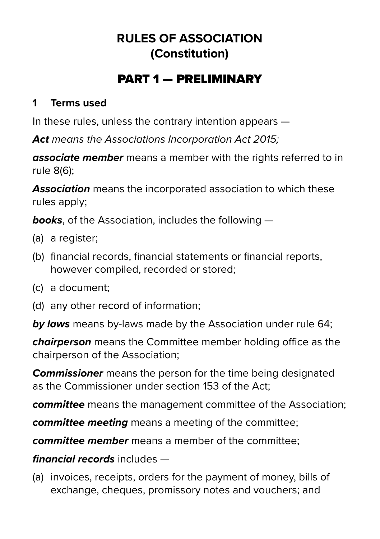# **RULES OF ASSOCIATION (Constitution)**

# PART 1 — PRELIMINARY

#### **1 Terms used**

In these rules, unless the contrary intention appears —

*Act means the Associations Incorporation Act 2015;* 

**associate member** means a member with the rights referred to in rule 8(6);

*Association* means the incorporated association to which these rules apply;

*books*, of the Association, includes the following —

- (a) a register;
- (b) financial records, financial statements or financial reports, however compiled, recorded or stored;
- (c) a document;
- (d) any other record of information;

*by laws* means by-laws made by the Association under rule 64;

*chairperson* means the Committee member holding office as the chairperson of the Association;

*Commissioner* means the person for the time being designated as the Commissioner under section 153 of the Act;

*committee* means the management committee of the Association;

*committee meeting* means a meeting of the committee;

*committee member* means a member of the committee;

#### *financial records* includes —

(a) invoices, receipts, orders for the payment of money, bills of exchange, cheques, promissory notes and vouchers; and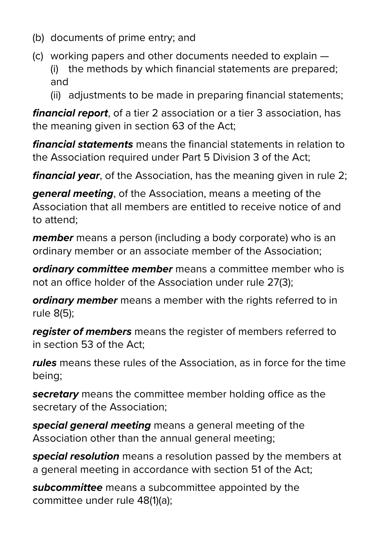- (b) documents of prime entry; and
- (c) working papers and other documents needed to explain (i) the methods by which financial statements are prepared; and
	- (ii) adjustments to be made in preparing financial statements;

*financial report*, of a tier 2 association or a tier 3 association, has the meaning given in section 63 of the Act;

*financial statements* means the financial statements in relation to the Association required under Part 5 Division 3 of the Act;

*financial year*, of the Association, has the meaning given in rule 2;

*general meeting*, of the Association, means a meeting of the Association that all members are entitled to receive notice of and to attend;

*member* means a person (including a body corporate) who is an ordinary member or an associate member of the Association;

*ordinary committee member* means a committee member who is not an office holder of the Association under rule 27(3);

*ordinary member* means a member with the rights referred to in rule 8(5);

*register of members* means the register of members referred to in section 53 of the Act;

*rules* means these rules of the Association, as in force for the time being;

*secretary* means the committee member holding office as the secretary of the Association;

*special general meeting* means a general meeting of the Association other than the annual general meeting;

*special resolution* means a resolution passed by the members at a general meeting in accordance with section 51 of the Act;

*subcommittee* means a subcommittee appointed by the committee under rule 48(1)(a);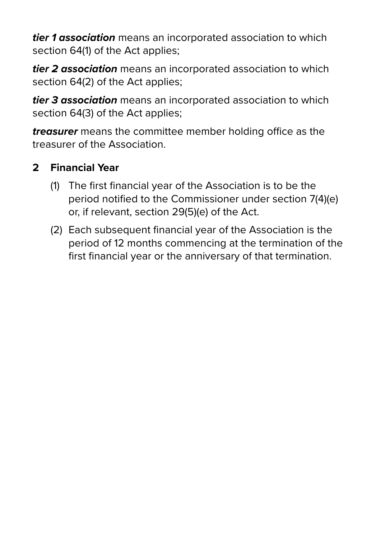*tier 1 association* means an incorporated association to which section 64(1) of the Act applies;

*tier 2 association* means an incorporated association to which section 64(2) of the Act applies;

*tier 3 association* means an incorporated association to which section 64(3) of the Act applies;

*treasurer* means the committee member holding office as the treasurer of the Association.

#### **2 Financial Year**

- (1) The first financial year of the Association is to be the period notified to the Commissioner under section 7(4)(e) or, if relevant, section 29(5)(e) of the Act.
- (2) Each subsequent financial year of the Association is the period of 12 months commencing at the termination of the first financial year or the anniversary of that termination.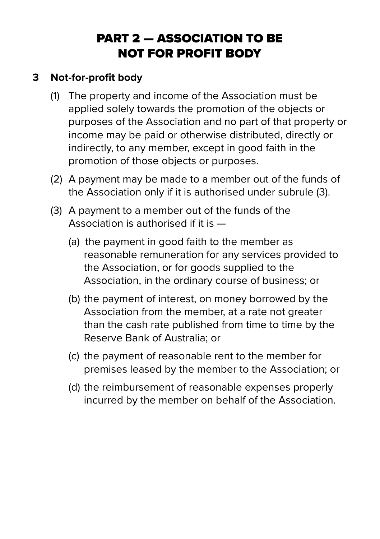# PART 2 — ASSOCIATION TO BE NOT FOR PROFIT BODY

#### **3 Not-for-profit body**

- (1) The property and income of the Association must be applied solely towards the promotion of the objects or purposes of the Association and no part of that property or income may be paid or otherwise distributed, directly or indirectly, to any member, except in good faith in the promotion of those objects or purposes.
- (2) A payment may be made to a member out of the funds of the Association only if it is authorised under subrule (3).
- (3) A payment to a member out of the funds of the Association is authorised if it is —
	- (a) the payment in good faith to the member as reasonable remuneration for any services provided to the Association, or for goods supplied to the Association, in the ordinary course of business; or
	- (b) the payment of interest, on money borrowed by the Association from the member, at a rate not greater than the cash rate published from time to time by the Reserve Bank of Australia; or
	- (c) the payment of reasonable rent to the member for premises leased by the member to the Association; or
	- (d) the reimbursement of reasonable expenses properly incurred by the member on behalf of the Association.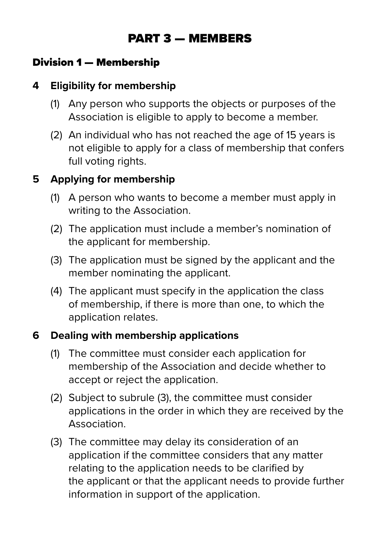# PART 3 — MEMBERS

#### Division 1 — Membership

#### **4 Eligibility for membership**

- (1) Any person who supports the objects or purposes of the Association is eligible to apply to become a member.
- (2) An individual who has not reached the age of 15 years is not eligible to apply for a class of membership that confers full voting rights.

#### **5 Applying for membership**

- (1) A person who wants to become a member must apply in writing to the Association.
- (2) The application must include a member's nomination of the applicant for membership.
- (3) The application must be signed by the applicant and the member nominating the applicant.
- (4) The applicant must specify in the application the class of membership, if there is more than one, to which the application relates.

#### **6 Dealing with membership applications**

- (1) The committee must consider each application for membership of the Association and decide whether to accept or reject the application.
- (2) Subject to subrule (3), the committee must consider applications in the order in which they are received by the Association.
- (3) The committee may delay its consideration of an application if the committee considers that any matter relating to the application needs to be clarified by the applicant or that the applicant needs to provide further information in support of the application.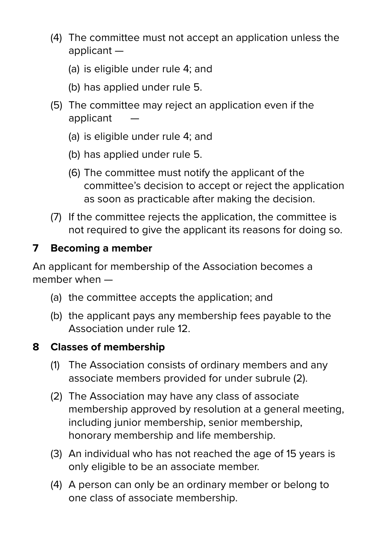- (4) The committee must not accept an application unless the applicant —
	- (a) is eligible under rule 4; and
	- (b) has applied under rule 5.
- (5) The committee may reject an application even if the applicant
	- (a) is eligible under rule 4; and
	- (b) has applied under rule 5.
	- (6) The committee must notify the applicant of the committee's decision to accept or reject the application as soon as practicable after making the decision.
- (7) If the committee rejects the application, the committee is not required to give the applicant its reasons for doing so.

#### **7 Becoming a member**

An applicant for membership of the Association becomes a member when —

- (a) the committee accepts the application; and
- (b) the applicant pays any membership fees payable to the Association under rule 12.

#### **8 Classes of membership**

- (1) The Association consists of ordinary members and any associate members provided for under subrule (2).
- (2) The Association may have any class of associate membership approved by resolution at a general meeting, including junior membership, senior membership, honorary membership and life membership.
- (3) An individual who has not reached the age of 15 years is only eligible to be an associate member.
- (4) A person can only be an ordinary member or belong to one class of associate membership.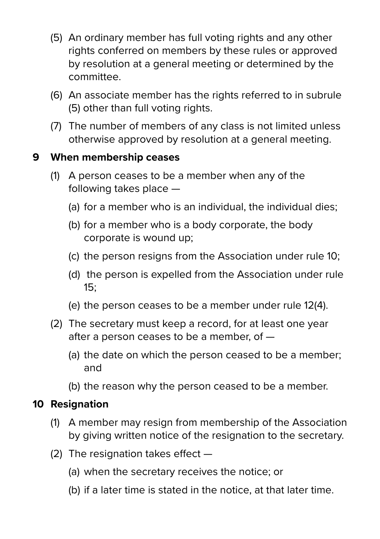- (5) An ordinary member has full voting rights and any other rights conferred on members by these rules or approved by resolution at a general meeting or determined by the committee.
- (6) An associate member has the rights referred to in subrule (5) other than full voting rights.
- (7) The number of members of any class is not limited unless otherwise approved by resolution at a general meeting.

#### **9 When membership ceases**

- (1) A person ceases to be a member when any of the following takes place —
	- (a) for a member who is an individual, the individual dies;
	- (b) for a member who is a body corporate, the body corporate is wound up;
	- (c) the person resigns from the Association under rule 10;
	- (d) the person is expelled from the Association under rule 15;
	- (e) the person ceases to be a member under rule 12(4).
- (2) The secretary must keep a record, for at least one year after a person ceases to be a member, of —
	- (a) the date on which the person ceased to be a member; and
	- (b) the reason why the person ceased to be a member.

#### **10 Resignation**

- (1) A member may resign from membership of the Association by giving written notice of the resignation to the secretary.
- (2) The resignation takes effect
	- (a) when the secretary receives the notice; or
	- (b) if a later time is stated in the notice, at that later time.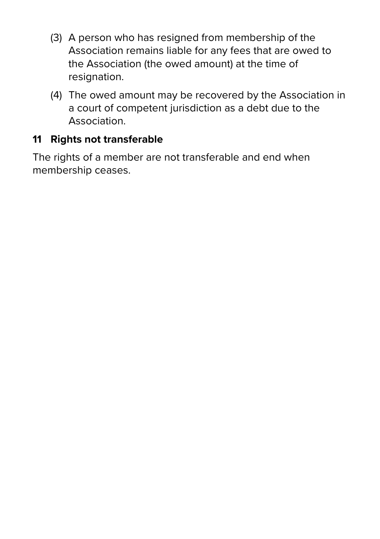- (3) A person who has resigned from membership of the Association remains liable for any fees that are owed to the Association (the owed amount) at the time of resignation.
- (4) The owed amount may be recovered by the Association in a court of competent jurisdiction as a debt due to the Association.

#### **11 Rights not transferable**

The rights of a member are not transferable and end when membership ceases.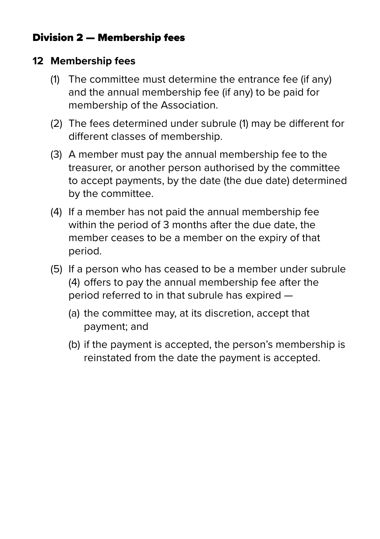#### Division 2 — Membership fees

#### **12 Membership fees**

- (1) The committee must determine the entrance fee (if any) and the annual membership fee (if any) to be paid for membership of the Association.
- (2) The fees determined under subrule (1) may be different for different classes of membership.
- (3) A member must pay the annual membership fee to the treasurer, or another person authorised by the committee to accept payments, by the date (the due date) determined by the committee.
- (4) If a member has not paid the annual membership fee within the period of 3 months after the due date, the member ceases to be a member on the expiry of that period.
- (5) If a person who has ceased to be a member under subrule (4) offers to pay the annual membership fee after the period referred to in that subrule has expired —
	- (a) the committee may, at its discretion, accept that payment; and
	- (b) if the payment is accepted, the person's membership is reinstated from the date the payment is accepted.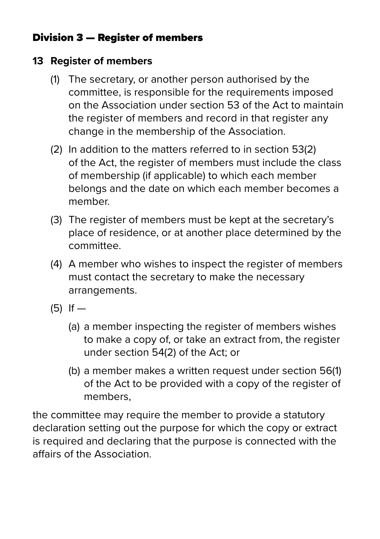#### Division 3 — Register of members

#### **13 Register of members**

- (1) The secretary, or another person authorised by the committee, is responsible for the requirements imposed on the Association under section 53 of the Act to maintain the register of members and record in that register any change in the membership of the Association.
- (2) In addition to the matters referred to in section 53(2) of the Act, the register of members must include the class of membership (if applicable) to which each member belongs and the date on which each member becomes a member.
- (3) The register of members must be kept at the secretary's place of residence, or at another place determined by the committee.
- (4) A member who wishes to inspect the register of members must contact the secretary to make the necessary arrangements.
- $(5)$  If  $-$ 
	- (a) a member inspecting the register of members wishes to make a copy of, or take an extract from, the register under section 54(2) of the Act; or
	- (b) a member makes a written request under section 56(1) of the Act to be provided with a copy of the register of members,

the committee may require the member to provide a statutory declaration setting out the purpose for which the copy or extract is required and declaring that the purpose is connected with the affairs of the Association.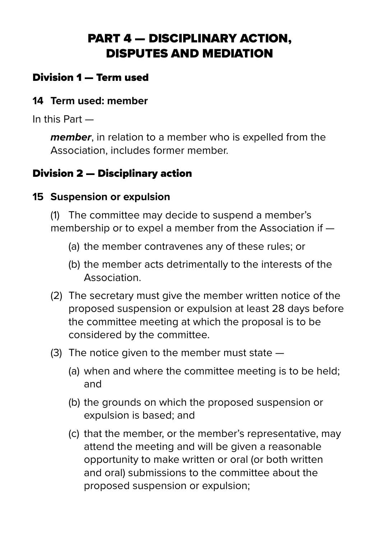# PART 4 — DISCIPLINARY ACTION, DISPUTES AND MEDIATION

#### Division 1 — Term used

#### **14 Term used: member**

In this Part —

*member*, in relation to a member who is expelled from the Association, includes former member.

### Division 2 — Disciplinary action

#### **15 Suspension or expulsion**

(1) The committee may decide to suspend a member's membership or to expel a member from the Association if —

- (a) the member contravenes any of these rules; or
- (b) the member acts detrimentally to the interests of the Association.
- (2) The secretary must give the member written notice of the proposed suspension or expulsion at least 28 days before the committee meeting at which the proposal is to be considered by the committee.
- (3) The notice given to the member must state
	- (a) when and where the committee meeting is to be held; and
	- (b) the grounds on which the proposed suspension or expulsion is based; and
	- (c) that the member, or the member's representative, may attend the meeting and will be given a reasonable opportunity to make written or oral (or both written and oral) submissions to the committee about the proposed suspension or expulsion;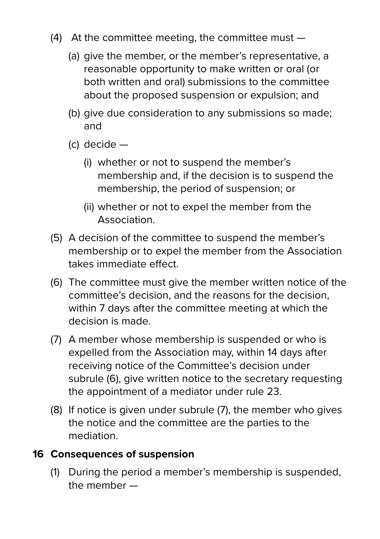- (4) At the committee meeting, the committee must
	- (a) give the member, or the member's representative, a reasonable opportunity to make written or oral (or both written and oral) submissions to the committee about the proposed suspension or expulsion; and
	- (b) give due consideration to any submissions so made; and
	- (c) decide
		- (i) whether or not to suspend the member's membership and, if the decision is to suspend the membership, the period of suspension; or
		- (ii) whether or not to expel the member from the Association.
- (5) A decision of the committee to suspend the member's membership or to expel the member from the Association takes immediate effect.
- (6) The committee must give the member written notice of the committee's decision, and the reasons for the decision, within 7 days after the committee meeting at which the decision is made.
- (7) A member whose membership is suspended or who is expelled from the Association may, within 14 days after receiving notice of the Committee's decision under subrule (6), give written notice to the secretary requesting the appointment of a mediator under rule 23.
- (8) If notice is given under subrule (7), the member who gives the notice and the committee are the parties to the mediation.

#### **16 Consequences of suspension**

(1) During the period a member's membership is suspended, the member —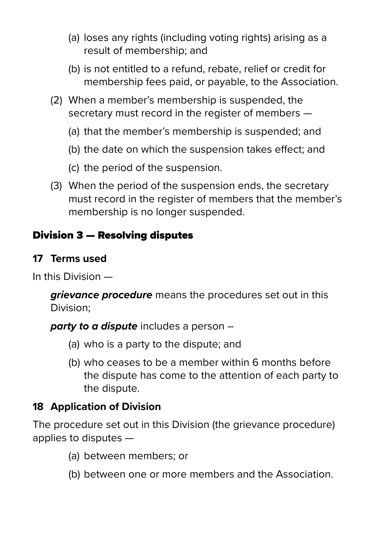- (a) loses any rights (including voting rights) arising as a result of membership; and
- (b) is not entitled to a refund, rebate, relief or credit for membership fees paid, or payable, to the Association.
- (2) When a member's membership is suspended, the secretary must record in the register of members —
	- (a) that the member's membership is suspended; and
	- (b) the date on which the suspension takes effect; and
	- (c) the period of the suspension.
- (3) When the period of the suspension ends, the secretary must record in the register of members that the member's membership is no longer suspended.

#### Division 3 — Resolving disputes

#### **17 Terms used**

In this Division —

*grievance procedure* means the procedures set out in this Division;

*party to a dispute* includes a person –

- (a) who is a party to the dispute; and
- (b) who ceases to be a member within 6 months before the dispute has come to the attention of each party to the dispute.

#### **18 Application of Division**

The procedure set out in this Division (the grievance procedure) applies to disputes —

- (a) between members; or
- (b) between one or more members and the Association.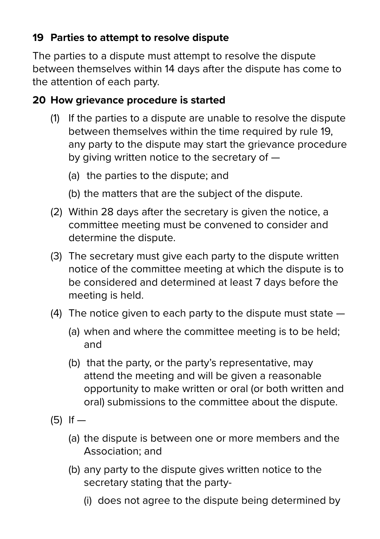#### **19 Parties to attempt to resolve dispute**

The parties to a dispute must attempt to resolve the dispute between themselves within 14 days after the dispute has come to the attention of each party.

#### **20 How grievance procedure is started**

- (1) If the parties to a dispute are unable to resolve the dispute between themselves within the time required by rule 19, any party to the dispute may start the grievance procedure by giving written notice to the secretary of —
	- (a) the parties to the dispute; and
	- (b) the matters that are the subject of the dispute.
- (2) Within 28 days after the secretary is given the notice, a committee meeting must be convened to consider and determine the dispute.
- (3) The secretary must give each party to the dispute written notice of the committee meeting at which the dispute is to be considered and determined at least 7 days before the meeting is held.
- (4) The notice given to each party to the dispute must state
	- (a) when and where the committee meeting is to be held; and
	- (b) that the party, or the party's representative, may attend the meeting and will be given a reasonable opportunity to make written or oral (or both written and oral) submissions to the committee about the dispute.
- $(5)$  If  $-$ 
	- (a) the dispute is between one or more members and the Association; and
	- (b) any party to the dispute gives written notice to the secretary stating that the party-
		- (i) does not agree to the dispute being determined by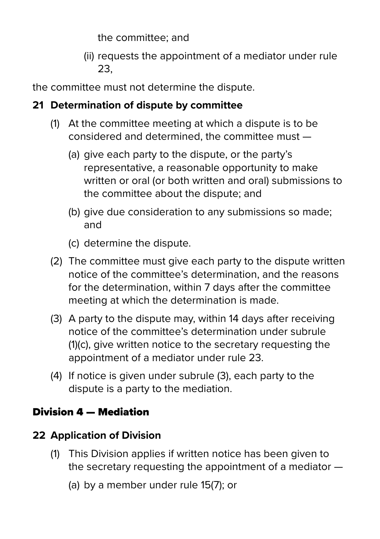the committee; and

 (ii) requests the appointment of a mediator under rule 23,

the committee must not determine the dispute.

#### **21 Determination of dispute by committee**

- (1) At the committee meeting at which a dispute is to be considered and determined, the committee must —
	- (a) give each party to the dispute, or the party's representative, a reasonable opportunity to make written or oral (or both written and oral) submissions to the committee about the dispute; and
	- (b) give due consideration to any submissions so made; and
	- (c) determine the dispute.
- (2) The committee must give each party to the dispute written notice of the committee's determination, and the reasons for the determination, within 7 days after the committee meeting at which the determination is made.
- (3) A party to the dispute may, within 14 days after receiving notice of the committee's determination under subrule (1)(c), give written notice to the secretary requesting the appointment of a mediator under rule 23.
- (4) If notice is given under subrule (3), each party to the dispute is a party to the mediation.

## Division 4 — Mediation

## **22 Application of Division**

- (1) This Division applies if written notice has been given to the secretary requesting the appointment of a mediator —
	- (a) by a member under rule 15(7); or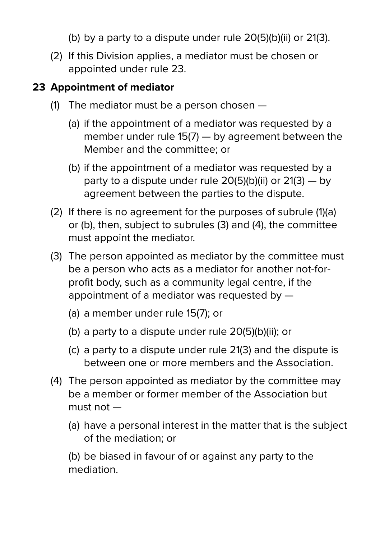- (b) by a party to a dispute under rule 20(5)(b)(ii) or 21(3).
- (2) If this Division applies, a mediator must be chosen or appointed under rule 23.

#### **23 Appointment of mediator**

- (1) The mediator must be a person chosen
	- (a) if the appointment of a mediator was requested by a member under rule 15(7) — by agreement between the Member and the committee; or
	- (b) if the appointment of a mediator was requested by a party to a dispute under rule  $20(5)(b)(ii)$  or  $21(3) - by$ agreement between the parties to the dispute.
- (2) If there is no agreement for the purposes of subrule (1)(a) or (b), then, subject to subrules (3) and (4), the committee must appoint the mediator.
- (3) The person appointed as mediator by the committee must be a person who acts as a mediator for another not-for profit body, such as a community legal centre, if the appointment of a mediator was requested by —
	- (a) a member under rule 15(7); or
	- (b) a party to a dispute under rule 20(5)(b)(ii); or
	- (c) a party to a dispute under rule 21(3) and the dispute is between one or more members and the Association.
- (4) The person appointed as mediator by the committee may be a member or former member of the Association but must not —
	- (a) have a personal interest in the matter that is the subject of the mediation; or

 (b) be biased in favour of or against any party to the mediation.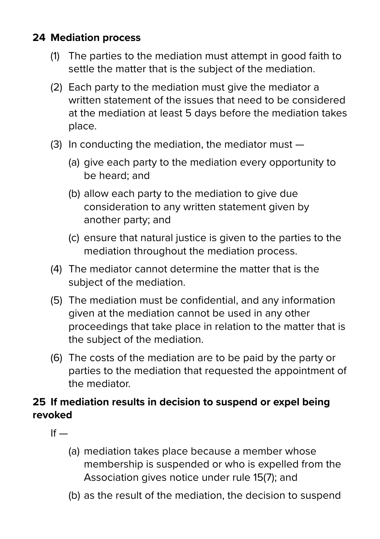#### **24 Mediation process**

- (1) The parties to the mediation must attempt in good faith to settle the matter that is the subject of the mediation.
- (2) Each party to the mediation must give the mediator a written statement of the issues that need to be considered at the mediation at least 5 days before the mediation takes place.
- (3) In conducting the mediation, the mediator must
	- (a) give each party to the mediation every opportunity to be heard; and
	- (b) allow each party to the mediation to give due consideration to any written statement given by another party; and
	- (c) ensure that natural justice is given to the parties to the mediation throughout the mediation process.
- (4) The mediator cannot determine the matter that is the subject of the mediation.
- (5) The mediation must be confidential, and any information given at the mediation cannot be used in any other proceedings that take place in relation to the matter that is the subject of the mediation.
- (6) The costs of the mediation are to be paid by the party or parties to the mediation that requested the appointment of the mediator.

#### **25 If mediation results in decision to suspend or expel being revoked**

- $If -$ 
	- (a) mediation takes place because a member whose membership is suspended or who is expelled from the Association gives notice under rule 15(7); and
	- (b) as the result of the mediation, the decision to suspend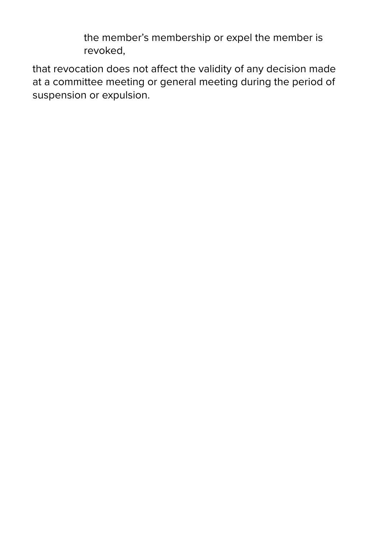the member's membership or expel the member is revoked,

that revocation does not affect the validity of any decision made at a committee meeting or general meeting during the period of suspension or expulsion.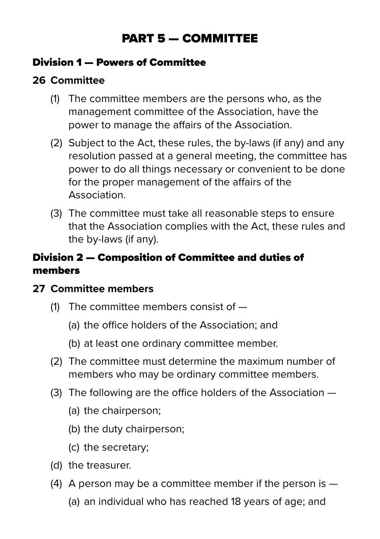# PART 5 — COMMITTEE

#### Division 1 — Powers of Committee

#### **26 Committee**

- (1) The committee members are the persons who, as the management committee of the Association, have the power to manage the affairs of the Association.
- (2) Subject to the Act, these rules, the by-laws (if any) and any resolution passed at a general meeting, the committee has power to do all things necessary or convenient to be done for the proper management of the affairs of the Association.
- (3) The committee must take all reasonable steps to ensure that the Association complies with the Act, these rules and the by-laws (if any).

#### Division 2 — Composition of Committee and duties of members

#### **27 Committee members**

- (1) The committee members consist of
	- (a) the office holders of the Association; and
	- (b) at least one ordinary committee member.
- (2) The committee must determine the maximum number of members who may be ordinary committee members.
- (3) The following are the office holders of the Association
	- (a) the chairperson;
	- (b) the duty chairperson;
	- (c) the secretary;
- (d) the treasurer.
- (4) A person may be a committee member if the person is
	- (a) an individual who has reached 18 years of age; and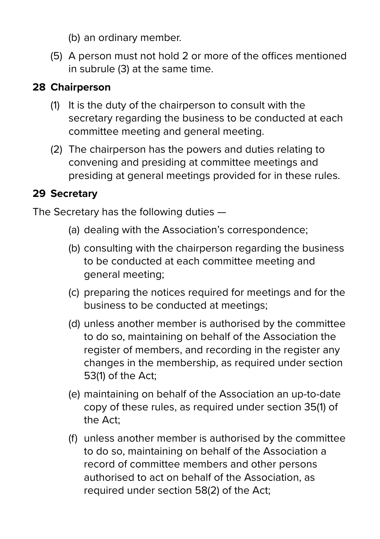- (b) an ordinary member.
- (5) A person must not hold 2 or more of the offices mentioned in subrule (3) at the same time.

#### **28 Chairperson**

- (1) It is the duty of the chairperson to consult with the secretary regarding the business to be conducted at each committee meeting and general meeting.
- (2) The chairperson has the powers and duties relating to convening and presiding at committee meetings and presiding at general meetings provided for in these rules.

#### **29 Secretary**

The Secretary has the following duties —

- (a) dealing with the Association's correspondence;
- (b) consulting with the chairperson regarding the business to be conducted at each committee meeting and general meeting;
- (c) preparing the notices required for meetings and for the business to be conducted at meetings;
- (d) unless another member is authorised by the committee to do so, maintaining on behalf of the Association the register of members, and recording in the register any changes in the membership, as required under section 53(1) of the Act;
- (e) maintaining on behalf of the Association an up-to-date copy of these rules, as required under section 35(1) of the Act;
- (f) unless another member is authorised by the committee to do so, maintaining on behalf of the Association a record of committee members and other persons authorised to act on behalf of the Association, as required under section 58(2) of the Act;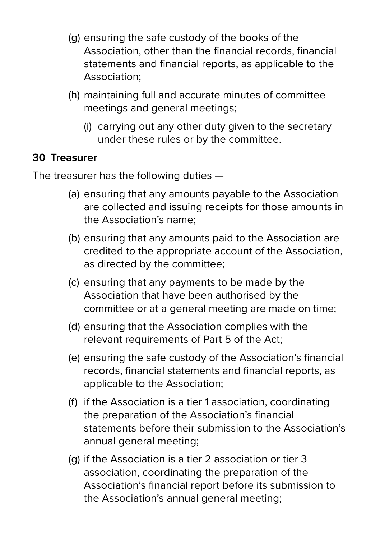- (g) ensuring the safe custody of the books of the Association, other than the financial records, financial statements and financial reports, as applicable to the Association;
- (h) maintaining full and accurate minutes of committee meetings and general meetings;
	- (i) carrying out any other duty given to the secretary under these rules or by the committee.

#### **30 Treasurer**

The treasurer has the following duties —

- (a) ensuring that any amounts payable to the Association are collected and issuing receipts for those amounts in the Association's name;
- (b) ensuring that any amounts paid to the Association are credited to the appropriate account of the Association, as directed by the committee;
- (c) ensuring that any payments to be made by the Association that have been authorised by the committee or at a general meeting are made on time;
- (d) ensuring that the Association complies with the relevant requirements of Part 5 of the Act;
- (e) ensuring the safe custody of the Association's financial records, financial statements and financial reports, as applicable to the Association;
- (f) if the Association is a tier 1 association, coordinating the preparation of the Association's financial statements before their submission to the Association's annual general meeting;
- (g) if the Association is a tier 2 association or tier 3 association, coordinating the preparation of the Association's financial report before its submission to the Association's annual general meeting;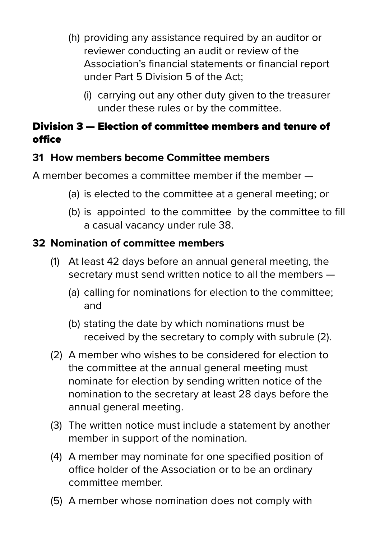- (h) providing any assistance required by an auditor or reviewer conducting an audit or review of the Association's financial statements or financial report under Part 5 Division 5 of the Act;
	- (i) carrying out any other duty given to the treasurer under these rules or by the committee.

#### Division 3 — Election of committee members and tenure of office

#### **31 How members become Committee members**

A member becomes a committee member if the member —

- (a) is elected to the committee at a general meeting; or
- (b) is appointed to the committee by the committee to fill a casual vacancy under rule 38.

#### **32 Nomination of committee members**

- (1) At least 42 days before an annual general meeting, the secretary must send written notice to all the members —
	- (a) calling for nominations for election to the committee; and
	- (b) stating the date by which nominations must be received by the secretary to comply with subrule (2).
- (2) A member who wishes to be considered for election to the committee at the annual general meeting must nominate for election by sending written notice of the nomination to the secretary at least 28 days before the annual general meeting.
- (3) The written notice must include a statement by another member in support of the nomination.
- (4) A member may nominate for one specified position of office holder of the Association or to be an ordinary committee member.
- (5) A member whose nomination does not comply with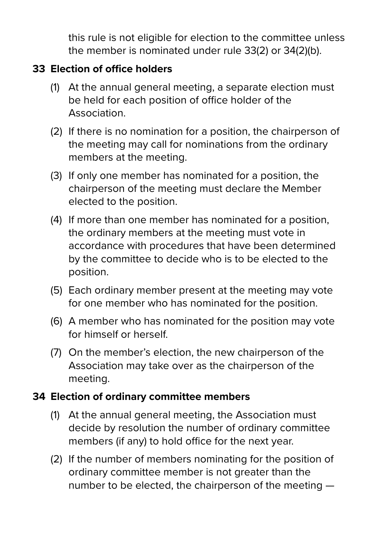this rule is not eligible for election to the committee unless the member is nominated under rule 33(2) or 34(2)(b).

#### **33 Election of office holders**

- (1) At the annual general meeting, a separate election must be held for each position of office holder of the Association.
- (2) If there is no nomination for a position, the chairperson of the meeting may call for nominations from the ordinary members at the meeting.
- (3) If only one member has nominated for a position, the chairperson of the meeting must declare the Member elected to the position.
- (4) If more than one member has nominated for a position, the ordinary members at the meeting must vote in accordance with procedures that have been determined by the committee to decide who is to be elected to the position.
- (5) Each ordinary member present at the meeting may vote for one member who has nominated for the position.
- (6) A member who has nominated for the position may vote for himself or herself.
- (7) On the member's election, the new chairperson of the Association may take over as the chairperson of the meeting.

#### **34 Election of ordinary committee members**

- (1) At the annual general meeting, the Association must decide by resolution the number of ordinary committee members (if any) to hold office for the next year.
- (2) If the number of members nominating for the position of ordinary committee member is not greater than the number to be elected, the chairperson of the meeting —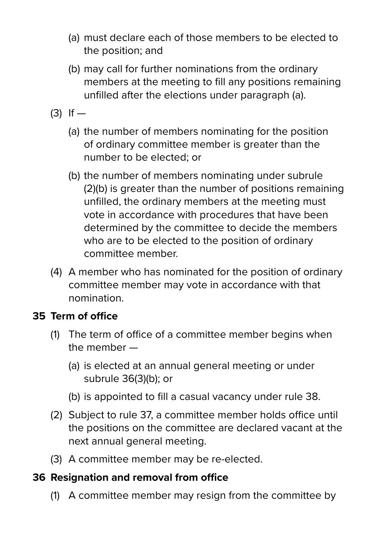- (a) must declare each of those members to be elected to the position; and
- (b) may call for further nominations from the ordinary members at the meeting to fill any positions remaining unfilled after the elections under paragraph (a).
- $(3)$  If  $-$ 
	- (a) the number of members nominating for the position of ordinary committee member is greater than the number to be elected; or
	- (b) the number of members nominating under subrule (2)(b) is greater than the number of positions remaining unfilled, the ordinary members at the meeting must vote in accordance with procedures that have been determined by the committee to decide the members who are to be elected to the position of ordinary committee member.
- (4) A member who has nominated for the position of ordinary committee member may vote in accordance with that nomination.

#### **35 Term of office**

- (1) The term of office of a committee member begins when the member —
	- (a) is elected at an annual general meeting or under subrule 36(3)(b); or
	- (b) is appointed to fill a casual vacancy under rule 38.
- (2) Subject to rule 37, a committee member holds office until the positions on the committee are declared vacant at the next annual general meeting.
- (3) A committee member may be re-elected.

#### **36 Resignation and removal from office**

(1) A committee member may resign from the committee by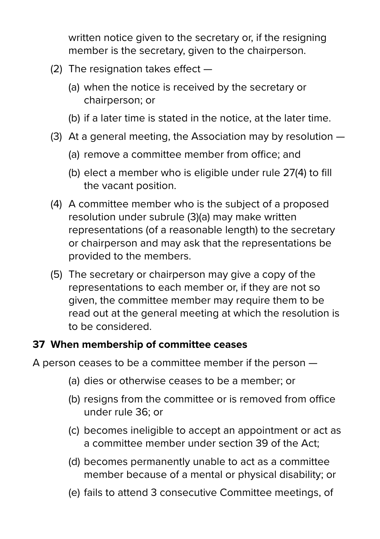written notice given to the secretary or, if the resigning member is the secretary, given to the chairperson.

- (2) The resignation takes effect
	- (a) when the notice is received by the secretary or chairperson; or
	- (b) if a later time is stated in the notice, at the later time.
- (3) At a general meeting, the Association may by resolution
	- (a) remove a committee member from office; and
	- (b) elect a member who is eligible under rule 27(4) to fill the vacant position.
- (4) A committee member who is the subject of a proposed resolution under subrule (3)(a) may make written representations (of a reasonable length) to the secretary or chairperson and may ask that the representations be provided to the members.
- (5) The secretary or chairperson may give a copy of the representations to each member or, if they are not so given, the committee member may require them to be read out at the general meeting at which the resolution is to be considered.

#### **37 When membership of committee ceases**

A person ceases to be a committee member if the person —

- (a) dies or otherwise ceases to be a member; or
- (b) resigns from the committee or is removed from office under rule 36; or
- (c) becomes ineligible to accept an appointment or act as a committee member under section 39 of the Act;
- (d) becomes permanently unable to act as a committee member because of a mental or physical disability; or
- (e) fails to attend 3 consecutive Committee meetings, of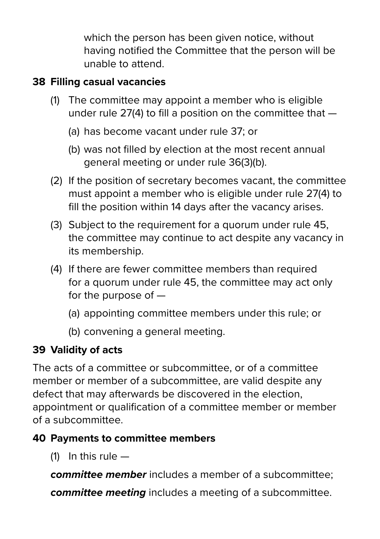which the person has been given notice, without having notified the Committee that the person will be unable to attend.

#### **38 Filling casual vacancies**

- (1) The committee may appoint a member who is eligible under rule 27(4) to fill a position on the committee that —
	- (a) has become vacant under rule 37; or
	- (b) was not filled by election at the most recent annual general meeting or under rule 36(3)(b).
- (2) If the position of secretary becomes vacant, the committee must appoint a member who is eligible under rule 27(4) to fill the position within 14 days after the vacancy arises.
- (3) Subject to the requirement for a quorum under rule 45, the committee may continue to act despite any vacancy in its membership.
- (4) If there are fewer committee members than required for a quorum under rule 45, the committee may act only for the purpose of —
	- (a) appointing committee members under this rule; or
	- (b) convening a general meeting.

#### **39 Validity of acts**

The acts of a committee or subcommittee, or of a committee member or member of a subcommittee, are valid despite any defect that may afterwards be discovered in the election, appointment or qualification of a committee member or member of a subcommittee.

#### **40 Payments to committee members**

(1) In this rule  $-$ 

*committee member* includes a member of a subcommittee;

*committee meeting* includes a meeting of a subcommittee.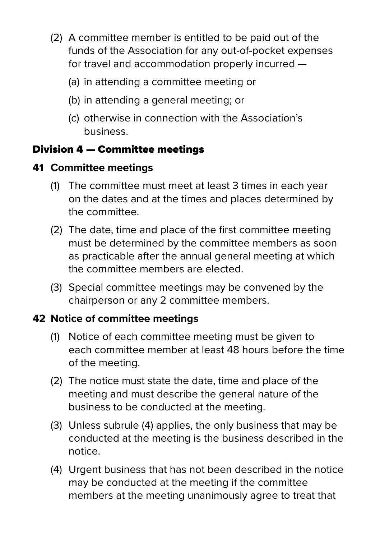- (2) A committee member is entitled to be paid out of the funds of the Association for any out-of-pocket expenses for travel and accommodation properly incurred —
	- (a) in attending a committee meeting or
	- (b) in attending a general meeting; or
	- (c) otherwise in connection with the Association's business.

#### Division 4 — Committee meetings

#### **41 Committee meetings**

- (1) The committee must meet at least 3 times in each year on the dates and at the times and places determined by the committee.
- (2) The date, time and place of the first committee meeting must be determined by the committee members as soon as practicable after the annual general meeting at which the committee members are elected.
- (3) Special committee meetings may be convened by the chairperson or any 2 committee members.

#### **42 Notice of committee meetings**

- (1) Notice of each committee meeting must be given to each committee member at least 48 hours before the time of the meeting.
- (2) The notice must state the date, time and place of the meeting and must describe the general nature of the business to be conducted at the meeting.
- (3) Unless subrule (4) applies, the only business that may be conducted at the meeting is the business described in the notice.
- (4) Urgent business that has not been described in the notice may be conducted at the meeting if the committee members at the meeting unanimously agree to treat that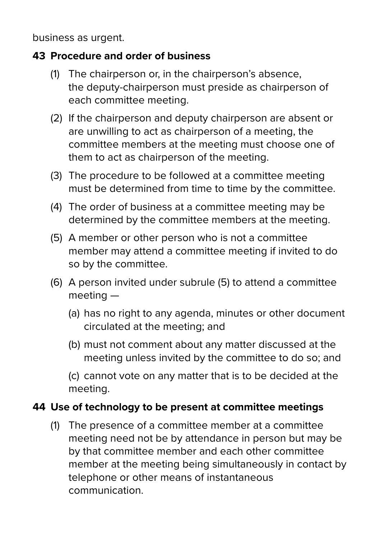business as urgent.

#### **43 Procedure and order of business**

- (1) The chairperson or, in the chairperson's absence, the deputy-chairperson must preside as chairperson of each committee meeting.
- (2) If the chairperson and deputy chairperson are absent or are unwilling to act as chairperson of a meeting, the committee members at the meeting must choose one of them to act as chairperson of the meeting.
- (3) The procedure to be followed at a committee meeting must be determined from time to time by the committee.
- (4) The order of business at a committee meeting may be determined by the committee members at the meeting.
- (5) A member or other person who is not a committee member may attend a committee meeting if invited to do so by the committee.
- (6) A person invited under subrule (5) to attend a committee meeting —
	- (a) has no right to any agenda, minutes or other document circulated at the meeting; and
	- (b) must not comment about any matter discussed at the meeting unless invited by the committee to do so; and

 (c) cannot vote on any matter that is to be decided at the meeting.

#### **44 Use of technology to be present at committee meetings**

(1) The presence of a committee member at a committee meeting need not be by attendance in person but may be by that committee member and each other committee member at the meeting being simultaneously in contact by telephone or other means of instantaneous communication.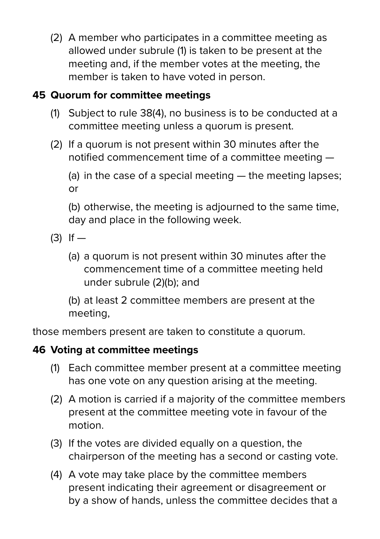(2) A member who participates in a committee meeting as allowed under subrule (1) is taken to be present at the meeting and, if the member votes at the meeting, the member is taken to have voted in person.

#### **45 Quorum for committee meetings**

- (1) Subject to rule 38(4), no business is to be conducted at a committee meeting unless a quorum is present.
- (2) If a quorum is not present within 30 minutes after the notified commencement time of a committee meeting —

 (a) in the case of a special meeting — the meeting lapses; or

 (b) otherwise, the meeting is adjourned to the same time, day and place in the following week.

- $(3)$  If  $-$ 
	- (a) a quorum is not present within 30 minutes after the commencement time of a committee meeting held under subrule (2)(b); and

 (b) at least 2 committee members are present at the meeting,

those members present are taken to constitute a quorum.

#### **46 Voting at committee meetings**

- (1) Each committee member present at a committee meeting has one vote on any question arising at the meeting.
- (2) A motion is carried if a majority of the committee members present at the committee meeting vote in favour of the motion.
- (3) If the votes are divided equally on a question, the chairperson of the meeting has a second or casting vote.
- (4) A vote may take place by the committee members present indicating their agreement or disagreement or by a show of hands, unless the committee decides that a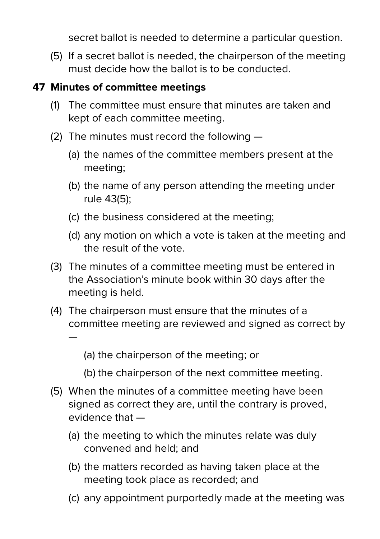secret ballot is needed to determine a particular question.

(5) If a secret ballot is needed, the chairperson of the meeting must decide how the ballot is to be conducted.

#### **47 Minutes of committee meetings**

- (1) The committee must ensure that minutes are taken and kept of each committee meeting.
- (2) The minutes must record the following
	- (a) the names of the committee members present at the meeting;
	- (b) the name of any person attending the meeting under rule 43(5);
	- (c) the business considered at the meeting;
	- (d) any motion on which a vote is taken at the meeting and the result of the vote.
- (3) The minutes of a committee meeting must be entered in the Association's minute book within 30 days after the meeting is held.
- (4) The chairperson must ensure that the minutes of a committee meeting are reviewed and signed as correct by —

(a) the chairperson of the meeting; or

- (b) the chairperson of the next committee meeting.
- (5) When the minutes of a committee meeting have been signed as correct they are, until the contrary is proved, evidence that —
	- (a) the meeting to which the minutes relate was duly convened and held; and
	- (b) the matters recorded as having taken place at the meeting took place as recorded; and
	- (c) any appointment purportedly made at the meeting was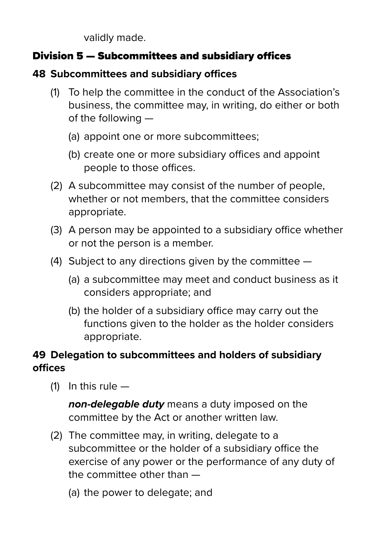validly made.

#### Division 5 — Subcommittees and subsidiary offices

#### **48 Subcommittees and subsidiary offices**

- (1) To help the committee in the conduct of the Association's business, the committee may, in writing, do either or both of the following —
	- (a) appoint one or more subcommittees;
	- (b) create one or more subsidiary offices and appoint people to those offices.
- (2) A subcommittee may consist of the number of people, whether or not members, that the committee considers appropriate.
- (3) A person may be appointed to a subsidiary office whether or not the person is a member.
- (4) Subject to any directions given by the committee
	- (a) a subcommittee may meet and conduct business as it considers appropriate; and
	- (b) the holder of a subsidiary office may carry out the functions given to the holder as the holder considers appropriate.

#### **49 Delegation to subcommittees and holders of subsidiary offices**

 $(1)$  In this rule  $-$ 

 *non-delegable duty* means a duty imposed on the committee by the Act or another written law.

- (2) The committee may, in writing, delegate to a subcommittee or the holder of a subsidiary office the exercise of any power or the performance of any duty of the committee other than —
	- (a) the power to delegate; and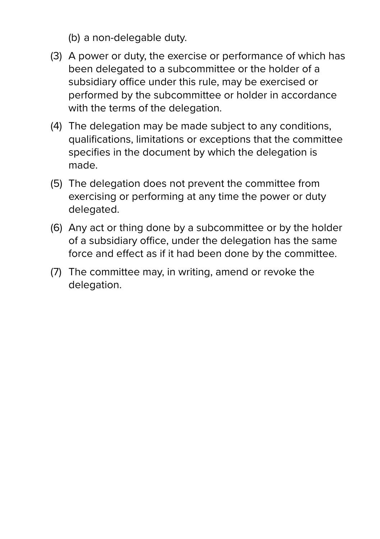- (b) a non-delegable duty.
- (3) A power or duty, the exercise or performance of which has been delegated to a subcommittee or the holder of a subsidiary office under this rule, may be exercised or performed by the subcommittee or holder in accordance with the terms of the delegation.
- (4) The delegation may be made subject to any conditions, qualifications, limitations or exceptions that the committee specifies in the document by which the delegation is made.
- (5) The delegation does not prevent the committee from exercising or performing at any time the power or duty delegated.
- (6) Any act or thing done by a subcommittee or by the holder of a subsidiary office, under the delegation has the same force and effect as if it had been done by the committee.
- (7) The committee may, in writing, amend or revoke the delegation.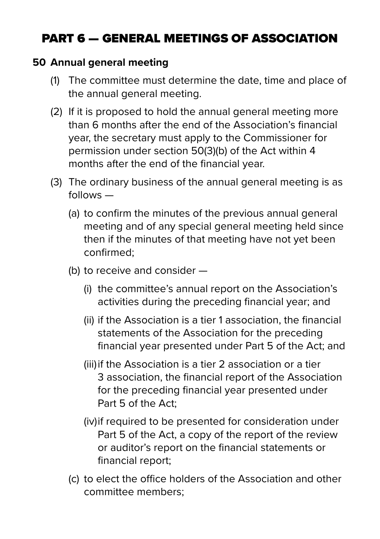# PART 6 — GENERAL MEETINGS OF ASSOCIATION

#### **50 Annual general meeting**

- (1) The committee must determine the date, time and place of the annual general meeting.
- (2) If it is proposed to hold the annual general meeting more than 6 months after the end of the Association's financial year, the secretary must apply to the Commissioner for permission under section 50(3)(b) of the Act within 4 months after the end of the financial year.
- (3) The ordinary business of the annual general meeting is as follows —
	- (a) to confirm the minutes of the previous annual general meeting and of any special general meeting held since then if the minutes of that meeting have not yet been confirmed;
	- (b) to receive and consider
		- (i) the committee's annual report on the Association's activities during the preceding financial year; and
		- (ii) if the Association is a tier 1 association, the financial statements of the Association for the preceding financial year presented under Part 5 of the Act; and
		- (iii) if the Association is a tier 2 association or a tier 3 association, the financial report of the Association for the preceding financial year presented under Part 5 of the Act;
		- (iv)if required to be presented for consideration under Part 5 of the Act, a copy of the report of the review or auditor's report on the financial statements or financial report;
	- (c) to elect the office holders of the Association and other committee members;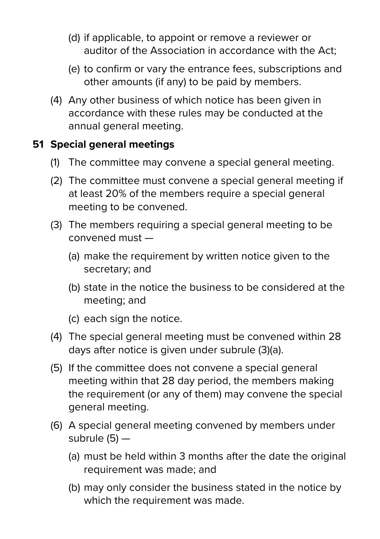- (d) if applicable, to appoint or remove a reviewer or auditor of the Association in accordance with the Act;
- (e) to confirm or vary the entrance fees, subscriptions and other amounts (if any) to be paid by members.
- (4) Any other business of which notice has been given in accordance with these rules may be conducted at the annual general meeting.

#### **51 Special general meetings**

- (1) The committee may convene a special general meeting.
- (2) The committee must convene a special general meeting if at least 20% of the members require a special general meeting to be convened.
- (3) The members requiring a special general meeting to be convened must —
	- (a) make the requirement by written notice given to the secretary; and
	- (b) state in the notice the business to be considered at the meeting; and
	- (c) each sign the notice.
- (4) The special general meeting must be convened within 28 days after notice is given under subrule (3)(a).
- (5) If the committee does not convene a special general meeting within that 28 day period, the members making the requirement (or any of them) may convene the special general meeting.
- (6) A special general meeting convened by members under subrule  $(5)$  –
	- (a) must be held within 3 months after the date the original requirement was made; and
	- (b) may only consider the business stated in the notice by which the requirement was made.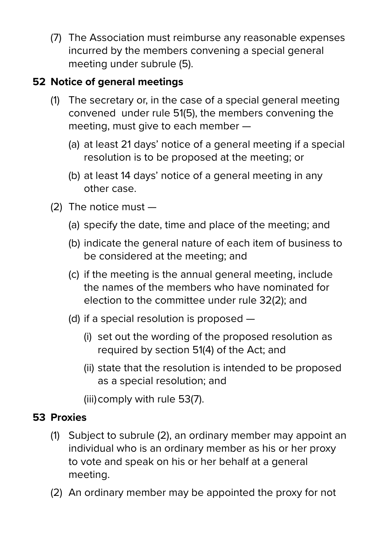(7) The Association must reimburse any reasonable expenses incurred by the members convening a special general meeting under subrule (5).

#### **52 Notice of general meetings**

- (1) The secretary or, in the case of a special general meeting convened under rule 51(5), the members convening the meeting, must give to each member —
	- (a) at least 21 days' notice of a general meeting if a special resolution is to be proposed at the meeting; or
	- (b) at least 14 days' notice of a general meeting in any other case.
- (2) The notice must
	- (a) specify the date, time and place of the meeting; and
	- (b) indicate the general nature of each item of business to be considered at the meeting; and
	- (c) if the meeting is the annual general meeting, include the names of the members who have nominated for election to the committee under rule 32(2); and
	- (d) if a special resolution is proposed
		- (i) set out the wording of the proposed resolution as required by section 51(4) of the Act; and
		- (ii) state that the resolution is intended to be proposed as a special resolution; and
		- (iii)comply with rule 53(7).

#### **53 Proxies**

- (1) Subject to subrule (2), an ordinary member may appoint an individual who is an ordinary member as his or her proxy to vote and speak on his or her behalf at a general meeting.
- (2) An ordinary member may be appointed the proxy for not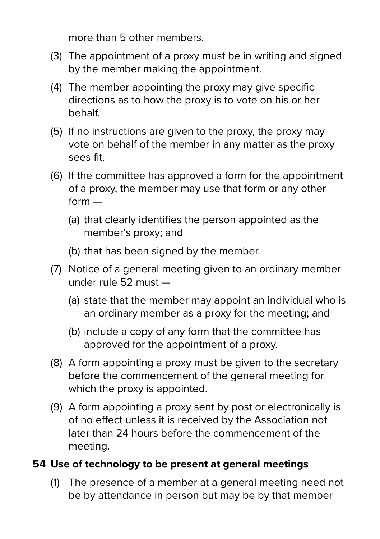more than 5 other members.

- (3) The appointment of a proxy must be in writing and signed by the member making the appointment.
- (4) The member appointing the proxy may give specific directions as to how the proxy is to vote on his or her behalf.
- (5) If no instructions are given to the proxy, the proxy may vote on behalf of the member in any matter as the proxy sees fit.
- (6) If the committee has approved a form for the appointment of a proxy, the member may use that form or any other form —
	- (a) that clearly identifies the person appointed as the member's proxy; and
	- (b) that has been signed by the member.
- (7) Notice of a general meeting given to an ordinary member under rule 52 must —
	- (a) state that the member may appoint an individual who is an ordinary member as a proxy for the meeting; and
	- (b) include a copy of any form that the committee has approved for the appointment of a proxy.
- (8) A form appointing a proxy must be given to the secretary before the commencement of the general meeting for which the proxy is appointed.
- (9) A form appointing a proxy sent by post or electronically is of no effect unless it is received by the Association not later than 24 hours before the commencement of the meeting.

#### **54 Use of technology to be present at general meetings**

(1) The presence of a member at a general meeting need not be by attendance in person but may be by that member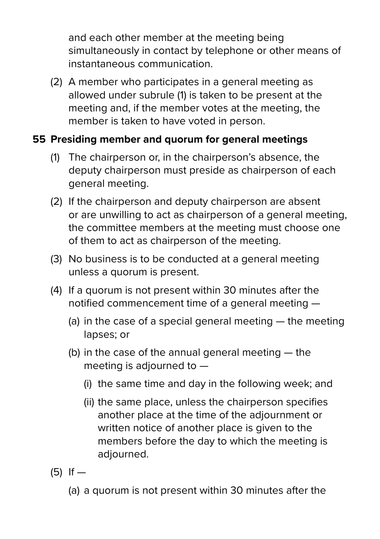and each other member at the meeting being simultaneously in contact by telephone or other means of instantaneous communication.

(2) A member who participates in a general meeting as allowed under subrule (1) is taken to be present at the meeting and, if the member votes at the meeting, the member is taken to have voted in person.

#### **55 Presiding member and quorum for general meetings**

- (1) The chairperson or, in the chairperson's absence, the deputy chairperson must preside as chairperson of each general meeting.
- (2) If the chairperson and deputy chairperson are absent or are unwilling to act as chairperson of a general meeting, the committee members at the meeting must choose one of them to act as chairperson of the meeting.
- (3) No business is to be conducted at a general meeting unless a quorum is present.
- (4) If a quorum is not present within 30 minutes after the notified commencement time of a general meeting —
	- (a) in the case of a special general meeting  $-$  the meeting lapses; or
	- (b) in the case of the annual general meeting the meeting is adjourned to —
		- (i) the same time and day in the following week; and
		- (ii) the same place, unless the chairperson specifies another place at the time of the adjournment or written notice of another place is given to the members before the day to which the meeting is adjourned.
- (5) If
	- (a) a quorum is not present within 30 minutes after the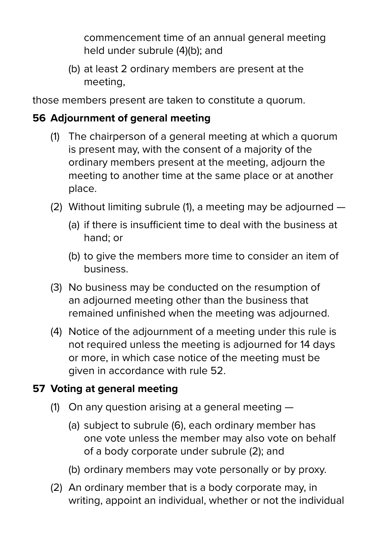commencement time of an annual general meeting held under subrule (4)(b); and

 (b) at least 2 ordinary members are present at the meeting,

those members present are taken to constitute a quorum.

#### **56 Adjournment of general meeting**

- (1) The chairperson of a general meeting at which a quorum is present may, with the consent of a majority of the ordinary members present at the meeting, adjourn the meeting to another time at the same place or at another place.
- (2) Without limiting subrule (1), a meeting may be adjourned
	- (a) if there is insufficient time to deal with the business at hand; or
	- (b) to give the members more time to consider an item of business.
- (3) No business may be conducted on the resumption of an adjourned meeting other than the business that remained unfinished when the meeting was adjourned.
- (4) Notice of the adjournment of a meeting under this rule is not required unless the meeting is adjourned for 14 days or more, in which case notice of the meeting must be given in accordance with rule 52.

#### **57 Voting at general meeting**

- (1) On any question arising at a general meeting
	- (a) subject to subrule (6), each ordinary member has one vote unless the member may also vote on behalf of a body corporate under subrule (2); and
	- (b) ordinary members may vote personally or by proxy.
- (2) An ordinary member that is a body corporate may, in writing, appoint an individual, whether or not the individual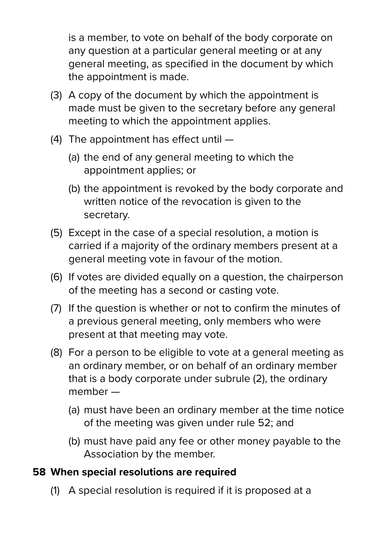is a member, to vote on behalf of the body corporate on any question at a particular general meeting or at any general meeting, as specified in the document by which the appointment is made.

- (3) A copy of the document by which the appointment is made must be given to the secretary before any general meeting to which the appointment applies.
- (4) The appointment has effect until
	- (a) the end of any general meeting to which the appointment applies; or
	- (b) the appointment is revoked by the body corporate and written notice of the revocation is given to the secretary.
- (5) Except in the case of a special resolution, a motion is carried if a majority of the ordinary members present at a general meeting vote in favour of the motion.
- (6) If votes are divided equally on a question, the chairperson of the meeting has a second or casting vote.
- (7) If the question is whether or not to confirm the minutes of a previous general meeting, only members who were present at that meeting may vote.
- (8) For a person to be eligible to vote at a general meeting as an ordinary member, or on behalf of an ordinary member that is a body corporate under subrule (2), the ordinary member —
	- (a) must have been an ordinary member at the time notice of the meeting was given under rule 52; and
	- (b) must have paid any fee or other money payable to the Association by the member.

#### **58 When special resolutions are required**

(1) A special resolution is required if it is proposed at a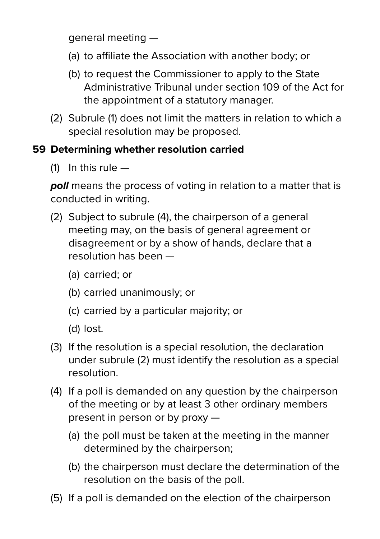general meeting —

- (a) to affiliate the Association with another body; or
- (b) to request the Commissioner to apply to the State Administrative Tribunal under section 109 of the Act for the appointment of a statutory manager.
- (2) Subrule (1) does not limit the matters in relation to which a special resolution may be proposed.

#### **59 Determining whether resolution carried**

 $(1)$  In this rule  $-$ 

*poll* means the process of voting in relation to a matter that is conducted in writing.

- (2) Subject to subrule (4), the chairperson of a general meeting may, on the basis of general agreement or disagreement or by a show of hands, declare that a resolution has been —
	- (a) carried; or
	- (b) carried unanimously; or
	- (c) carried by a particular majority; or
	- (d) lost.
- (3) If the resolution is a special resolution, the declaration under subrule (2) must identify the resolution as a special resolution.
- (4) If a poll is demanded on any question by the chairperson of the meeting or by at least 3 other ordinary members present in person or by proxy —
	- (a) the poll must be taken at the meeting in the manner determined by the chairperson;
	- (b) the chairperson must declare the determination of the resolution on the basis of the poll.
- (5) If a poll is demanded on the election of the chairperson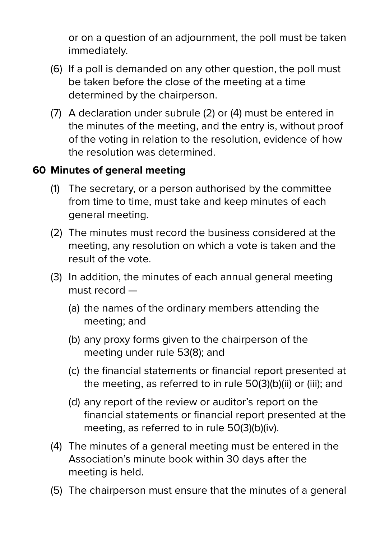or on a question of an adjournment, the poll must be taken immediately.

- (6) If a poll is demanded on any other question, the poll must be taken before the close of the meeting at a time determined by the chairperson.
- (7) A declaration under subrule (2) or (4) must be entered in the minutes of the meeting, and the entry is, without proof of the voting in relation to the resolution, evidence of how the resolution was determined.

#### **60 Minutes of general meeting**

- (1) The secretary, or a person authorised by the committee from time to time, must take and keep minutes of each general meeting.
- (2) The minutes must record the business considered at the meeting, any resolution on which a vote is taken and the result of the vote.
- (3) In addition, the minutes of each annual general meeting must record —
	- (a) the names of the ordinary members attending the meeting; and
	- (b) any proxy forms given to the chairperson of the meeting under rule 53(8); and
	- (c) the financial statements or financial report presented at the meeting, as referred to in rule 50(3)(b)(ii) or (iii); and
	- (d) any report of the review or auditor's report on the financial statements or financial report presented at the meeting, as referred to in rule 50(3)(b)(iv).
- (4) The minutes of a general meeting must be entered in the Association's minute book within 30 days after the meeting is held.
- (5) The chairperson must ensure that the minutes of a general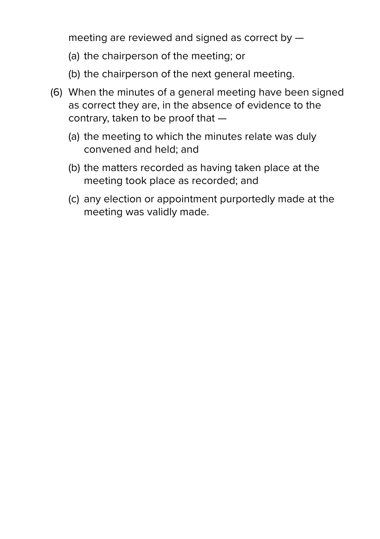meeting are reviewed and signed as correct by —

- (a) the chairperson of the meeting; or
- (b) the chairperson of the next general meeting.
- (6) When the minutes of a general meeting have been signed as correct they are, in the absence of evidence to the contrary, taken to be proof that —
	- (a) the meeting to which the minutes relate was duly convened and held; and
	- (b) the matters recorded as having taken place at the meeting took place as recorded; and
	- (c) any election or appointment purportedly made at the meeting was validly made.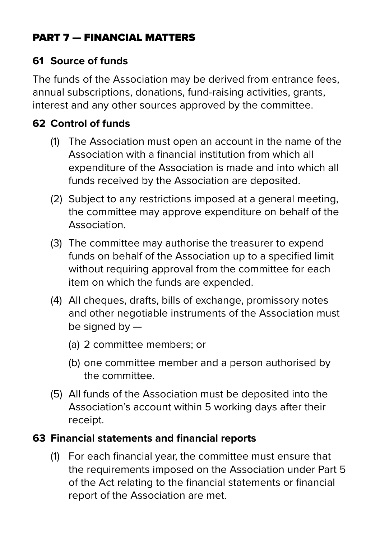#### PART 7 — FINANCIAL MATTERS

#### **61 Source of funds**

The funds of the Association may be derived from entrance fees, annual subscriptions, donations, fund-raising activities, grants, interest and any other sources approved by the committee.

#### **62 Control of funds**

- (1) The Association must open an account in the name of the Association with a financial institution from which all expenditure of the Association is made and into which all funds received by the Association are deposited.
- (2) Subject to any restrictions imposed at a general meeting, the committee may approve expenditure on behalf of the **Association**
- (3) The committee may authorise the treasurer to expend funds on behalf of the Association up to a specified limit without requiring approval from the committee for each item on which the funds are expended.
- (4) All cheques, drafts, bills of exchange, promissory notes and other negotiable instruments of the Association must be signed by —
	- (a) 2 committee members; or
	- (b) one committee member and a person authorised by the committee.
- (5) All funds of the Association must be deposited into the Association's account within 5 working days after their receipt.

#### **63 Financial statements and financial reports**

(1) For each financial year, the committee must ensure that the requirements imposed on the Association under Part 5 of the Act relating to the financial statements or financial report of the Association are met.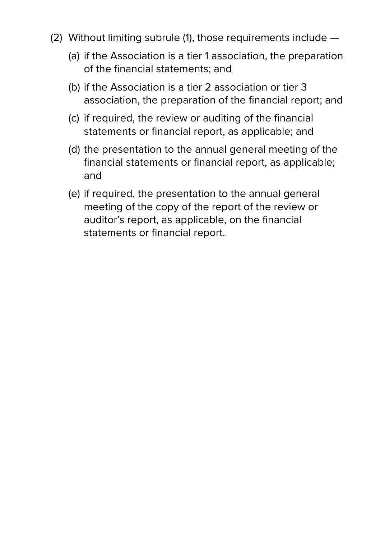- (2) Without limiting subrule (1), those requirements include
	- (a) if the Association is a tier 1 association, the preparation of the financial statements; and
	- (b) if the Association is a tier 2 association or tier 3 association, the preparation of the financial report; and
	- (c) if required, the review or auditing of the financial statements or financial report, as applicable; and
	- (d) the presentation to the annual general meeting of the financial statements or financial report, as applicable; and
	- (e) if required, the presentation to the annual general meeting of the copy of the report of the review or auditor's report, as applicable, on the financial statements or financial report.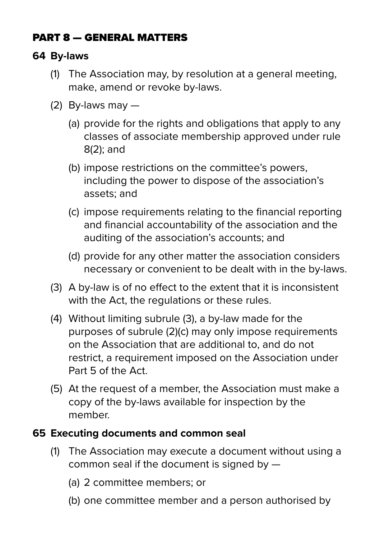#### PART 8 — GENERAL MATTERS

#### **64 By-laws**

- (1) The Association may, by resolution at a general meeting, make, amend or revoke by-laws.
- (2) By-laws may  $-$ 
	- (a) provide for the rights and obligations that apply to any classes of associate membership approved under rule 8(2); and
	- (b) impose restrictions on the committee's powers, including the power to dispose of the association's assets; and
	- (c) impose requirements relating to the financial reporting and financial accountability of the association and the auditing of the association's accounts; and
	- (d) provide for any other matter the association considers necessary or convenient to be dealt with in the by-laws.
- (3) A by-law is of no effect to the extent that it is inconsistent with the Act, the regulations or these rules.
- (4) Without limiting subrule (3), a by-law made for the purposes of subrule (2)(c) may only impose requirements on the Association that are additional to, and do not restrict, a requirement imposed on the Association under Part 5 of the Act.
- (5) At the request of a member, the Association must make a copy of the by-laws available for inspection by the member.

#### **65 Executing documents and common seal**

- (1) The Association may execute a document without using a common seal if the document is signed by —
	- (a) 2 committee members; or
	- (b) one committee member and a person authorised by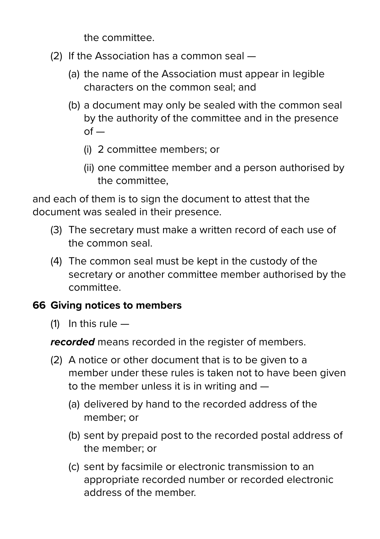the committee.

- (2) If the Association has a common seal
	- (a) the name of the Association must appear in legible characters on the common seal; and
	- (b) a document may only be sealed with the common seal by the authority of the committee and in the presence  $of -$ 
		- (i) 2 committee members; or
		- (ii) one committee member and a person authorised by the committee,

and each of them is to sign the document to attest that the document was sealed in their presence.

- (3) The secretary must make a written record of each use of the common seal.
- (4) The common seal must be kept in the custody of the secretary or another committee member authorised by the committee.

#### **66 Giving notices to members**

 $(1)$  In this rule  $-$ 

*recorded* means recorded in the register of members.

- (2) A notice or other document that is to be given to a member under these rules is taken not to have been given to the member unless it is in writing and —
	- (a) delivered by hand to the recorded address of the member; or
	- (b) sent by prepaid post to the recorded postal address of the member; or
	- (c) sent by facsimile or electronic transmission to an appropriate recorded number or recorded electronic address of the member.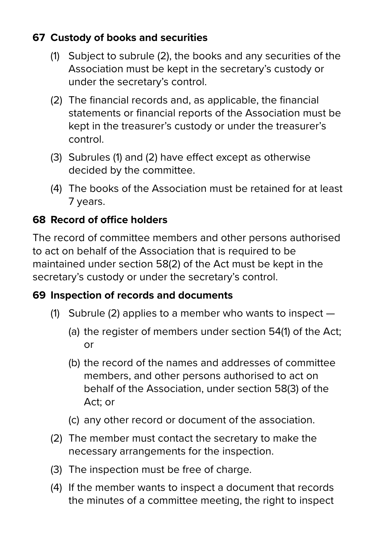#### **67 Custody of books and securities**

- (1) Subject to subrule (2), the books and any securities of the Association must be kept in the secretary's custody or under the secretary's control.
- (2) The financial records and, as applicable, the financial statements or financial reports of the Association must be kept in the treasurer's custody or under the treasurer's control.
- (3) Subrules (1) and (2) have effect except as otherwise decided by the committee.
- (4) The books of the Association must be retained for at least 7 years.

#### **68 Record of office holders**

The record of committee members and other persons authorised to act on behalf of the Association that is required to be maintained under section 58(2) of the Act must be kept in the secretary's custody or under the secretary's control.

#### **69 Inspection of records and documents**

- (1) Subrule (2) applies to a member who wants to inspect
	- (a) the register of members under section 54(1) of the Act; or
	- (b) the record of the names and addresses of committee members, and other persons authorised to act on behalf of the Association, under section 58(3) of the Act; or
	- (c) any other record or document of the association.
- (2) The member must contact the secretary to make the necessary arrangements for the inspection.
- (3) The inspection must be free of charge.
- (4) If the member wants to inspect a document that records the minutes of a committee meeting, the right to inspect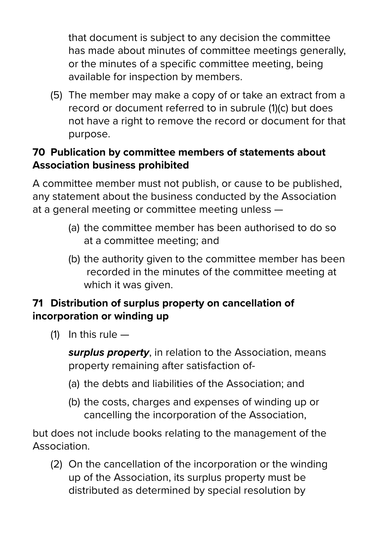that document is subject to any decision the committee has made about minutes of committee meetings generally, or the minutes of a specific committee meeting, being available for inspection by members.

(5) The member may make a copy of or take an extract from a record or document referred to in subrule (1)(c) but does not have a right to remove the record or document for that purpose.

#### **70 Publication by committee members of statements about Association business prohibited**

A committee member must not publish, or cause to be published, any statement about the business conducted by the Association at a general meeting or committee meeting unless —

- (a) the committee member has been authorised to do so at a committee meeting; and
- (b) the authority given to the committee member has been recorded in the minutes of the committee meeting at which it was given.

#### **71 Distribution of surplus property on cancellation of incorporation or winding up**

(1) In this rule  $-$ 

 *surplus property*, in relation to the Association, means property remaining after satisfaction of-

- (a) the debts and liabilities of the Association; and
- (b) the costs, charges and expenses of winding up or cancelling the incorporation of the Association,

but does not include books relating to the management of the Association.

(2) On the cancellation of the incorporation or the winding up of the Association, its surplus property must be distributed as determined by special resolution by